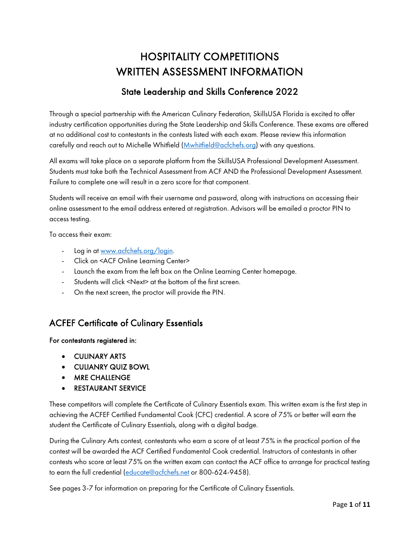# HOSPITALITY COMPETITIONS WRITTEN ASSESSMENT INFORMATION

## State Leadership and Skills Conference 2022

Through a special partnership with the American Culinary Federation, SkillsUSA Florida is excited to offer industry certification opportunities during the State Leadership and Skills Conference. These exams are offered at no additional cost to contestants in the contests listed with each exam. Please review this information carefully and reach out to Michelle Whitfield (*Mwhitfield@acfchefs.org*) with any questions.

All exams will take place on a separate platform from the SkillsUSA Professional Development Assessment. Students must take both the Technical Assessment from ACF AND the Professional Development Assessment. Failure to complete one will result in a zero score for that component.

Students will receive an email with their username and password, along with instructions on accessing their online assessment to the email address entered at registration. Advisors will be emailed a proctor PIN to access testing.

To access their exam:

- Log in at [www.acfchefs.org/login.](http://www.acfchefs.org/login)
- Click on <ACF Online Learning Center>
- Launch the exam from the left box on the Online Learning Center homepage.
- Students will click <Next> at the bottom of the first screen.
- On the next screen, the proctor will provide the PIN.

### ACFEF Certificate of Culinary Essentials

#### For contestants registered in:

- CULINARY ARTS
- CULIANRY QUIZ BOWL
- MRE CHALLENGE
- RESTAURANT SERVICE

These competitors will complete the Certificate of Culinary Essentials exam. This written exam is the first step in achieving the ACFEF Certified Fundamental Cook (CFC) credential. A score of 75% or better will earn the student the Certificate of Culinary Essentials, along with a digital badge.

During the Culinary Arts contest, contestants who earn a score of at least 75% in the practical portion of the contest will be awarded the ACF Certified Fundamental Cook credential. Instructors of contestants in other contests who score at least 75% on the written exam can contact the ACF office to arrange for practical testing to earn the full credential [\(educate@acfchefs.net](mailto:educate@acfchefs.net) or 800-624-9458).

See pages 3-7 for information on preparing for the Certificate of Culinary Essentials.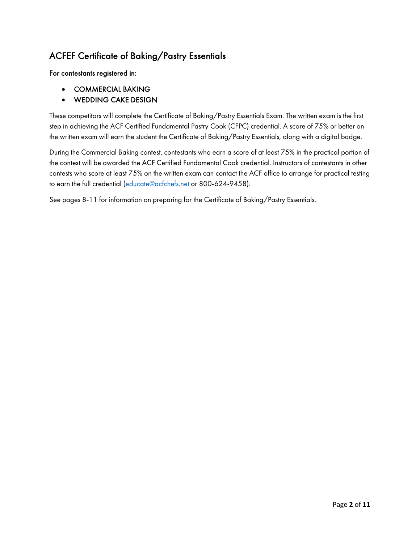## ACFEF Certificate of Baking/Pastry Essentials

#### For contestants registered in:

- COMMERCIAL BAKING
- WEDDING CAKE DESIGN

These competitors will complete the Certificate of Baking/Pastry Essentials Exam. The written exam is the first step in achieving the ACF Certified Fundamental Pastry Cook (CFPC) credential. A score of 75% or better on the written exam will earn the student the Certificate of Baking/Pastry Essentials, along with a digital badge.

During the Commercial Baking contest, contestants who earn a score of at least 75% in the practical portion of the contest will be awarded the ACF Certified Fundamental Cook credential. Instructors of contestants in other contests who score at least 75% on the written exam can contact the ACF office to arrange for practical testing to earn the full credential [\(educate@acfchefs.net](mailto:educate@acfchefs.net) or 800-624-9458).

See pages 8-11 for information on preparing for the Certificate of Baking/Pastry Essentials.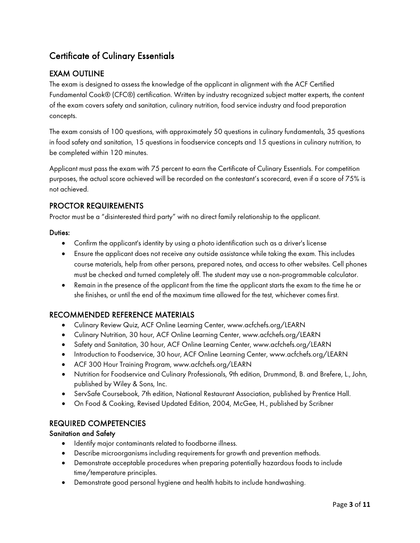## Certificate of Culinary Essentials

### EXAM OUTLINE

The exam is designed to assess the knowledge of the applicant in alignment with the ACF Certified Fundamental Cook® (CFC®) certification. Written by industry recognized subject matter experts, the content of the exam covers safety and sanitation, culinary nutrition, food service industry and food preparation concepts.

The exam consists of 100 questions, with approximately 50 questions in culinary fundamentals, 35 questions in food safety and sanitation, 15 questions in foodservice concepts and 15 questions in culinary nutrition, to be completed within 120 minutes.

Applicant must pass the exam with 75 percent to earn the Certificate of Culinary Essentials. For competition purposes, the actual score achieved will be recorded on the contestant's scorecard, even if a score of 75% is not achieved.

#### PROCTOR REQUIREMENTS

Proctor must be a "disinterested third party" with no direct family relationship to the applicant.

#### Duties:

- Confirm the applicant's identity by using a photo identification such as a driver's license
- Ensure the applicant does not receive any outside assistance while taking the exam. This includes course materials, help from other persons, prepared notes, and access to other websites. Cell phones must be checked and turned completely off. The student may use a non-programmable calculator.
- Remain in the presence of the applicant from the time the applicant starts the exam to the time he or she finishes, or until the end of the maximum time allowed for the test, whichever comes first.

#### RECOMMENDED REFERENCE MATERIALS

- Culinary Review Quiz, ACF Online Learning Center, www.acfchefs.org/LEARN
- Culinary Nutrition, 30 hour, ACF Online Learning Center, www.acfchefs.org/LEARN
- Safety and Sanitation, 30 hour, ACF Online Learning Center, www.acfchefs.org/LEARN
- Introduction to Foodservice, 30 hour, ACF Online Learning Center, www.acfchefs.org/LEARN
- ACF 300 Hour Training Program, www.acfchefs.org/LEARN
- Nutrition for Foodservice and Culinary Professionals, 9th edition, Drummond, B. and Brefere, L., John, published by Wiley & Sons, Inc.
- ServSafe Coursebook, 7th edition, National Restaurant Association, published by Prentice Hall.
- On Food & Cooking, Revised Updated Edition, 2004, McGee, H., published by Scribner

#### REQUIRED COMPETENCIES

#### Sanitation and Safety

- Identify major contaminants related to foodborne illness.
- Describe microorganisms including requirements for growth and prevention methods.
- Demonstrate acceptable procedures when preparing potentially hazardous foods to include time/temperature principles.
- Demonstrate good personal hygiene and health habits to include handwashing.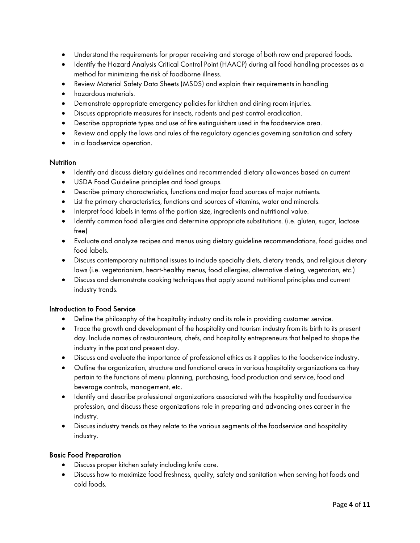- Understand the requirements for proper receiving and storage of both raw and prepared foods.
- Identify the Hazard Analysis Critical Control Point (HAACP) during all food handling processes as a method for minimizing the risk of foodborne illness.
- Review Material Safety Data Sheets (MSDS) and explain their requirements in handling
- hazardous materials.
- Demonstrate appropriate emergency policies for kitchen and dining room injuries.
- Discuss appropriate measures for insects, rodents and pest control eradication.
- Describe appropriate types and use of fire extinguishers used in the foodservice area.
- Review and apply the laws and rules of the regulatory agencies governing sanitation and safety
- in a foodservice operation.

#### **Nutrition**

- Identify and discuss dietary guidelines and recommended dietary allowances based on current
- USDA Food Guideline principles and food groups.
- Describe primary characteristics, functions and major food sources of major nutrients.
- List the primary characteristics, functions and sources of vitamins, water and minerals.
- Interpret food labels in terms of the portion size, ingredients and nutritional value.
- Identify common food allergies and determine appropriate substitutions. (i.e. gluten, sugar, lactose free)
- Evaluate and analyze recipes and menus using dietary guideline recommendations, food guides and food labels.
- Discuss contemporary nutritional issues to include specialty diets, dietary trends, and religious dietary laws (i.e. vegetarianism, heart-healthy menus, food allergies, alternative dieting, vegetarian, etc.)
- Discuss and demonstrate cooking techniques that apply sound nutritional principles and current industry trends.

#### Introduction to Food Service

- Define the philosophy of the hospitality industry and its role in providing customer service.
- Trace the growth and development of the hospitality and tourism industry from its birth to its present day. Include names of restauranteurs, chefs, and hospitality entrepreneurs that helped to shape the industry in the past and present day.
- Discuss and evaluate the importance of professional ethics as it applies to the foodservice industry.
- Outline the organization, structure and functional areas in various hospitality organizations as they pertain to the functions of menu planning, purchasing, food production and service, food and beverage controls, management, etc.
- Identify and describe professional organizations associated with the hospitality and foodservice profession, and discuss these organizations role in preparing and advancing ones career in the industry.
- Discuss industry trends as they relate to the various segments of the foodservice and hospitality industry.

#### Basic Food Preparation

- Discuss proper kitchen safety including knife care.
- Discuss how to maximize food freshness, quality, safety and sanitation when serving hot foods and cold foods.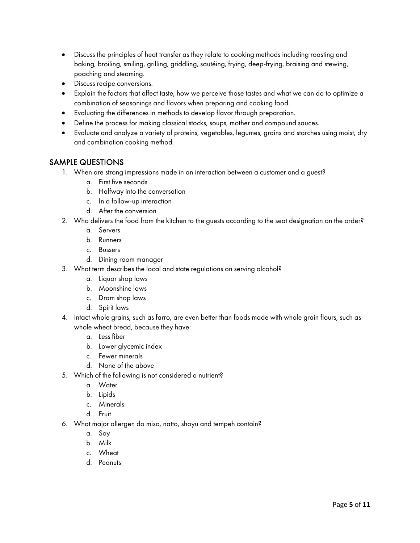- Discuss the principles of heat transfer as they relate to cooking methods including roasting and baking, broiling, smiling, grilling, griddling, sautéing, frying, deep-frying, braising and stewing, poaching and steaming.
- Discuss recipe conversions.
- Explain the factors that affect taste, how we perceive those tastes and what we can do to optimize a combination of seasonings and flavors when preparing and cooking food.
- Evaluating the differences in methods to develop flavor through preparation.
- Define the process for making classical stocks, soups, mother and compound sauces.
- Evaluate and analyze a variety of proteins, vegetables, legumes, grains and starches using moist, dry and combination cooking method.

#### SAMPLE QUESTIONS

- 1. When are strong impressions made in an interaction between a customer and a guest?
	- a. First five seconds
	- b. Halfway into the conversation
	- c. In a follow-up interaction
	- d. After the conversion
- 2. Who delivers the food from the kitchen to the guests according to the seat designation on the order?
	- a. Servers
	- b. Runners
	- c. Bussers
	- d. Dining room manager
- 3. What term describes the local and state regulations on serving alcohol?
	- a. Liquor shop laws
	- b. Moonshine laws
	- c. Dram shop laws
	- d. Spirit laws
- 4. Intact whole grains, such as farro, are even better than foods made with whole grain flours, such as whole wheat bread, because they have:
	- a. Less fiber
	- b. Lower glycemic index
	- c. Fewer minerals
	- d. None of the above
- 5. Which of the following is not considered a nutrient?
	- a. Water
	- b. Lipids
	- c. Minerals
	- d. Fruit
- 6. What major allergen do miso, natto, shoyu and tempeh contain?
	- a. Soy
	- b. Milk
	- c. Wheat
	- d. Peanuts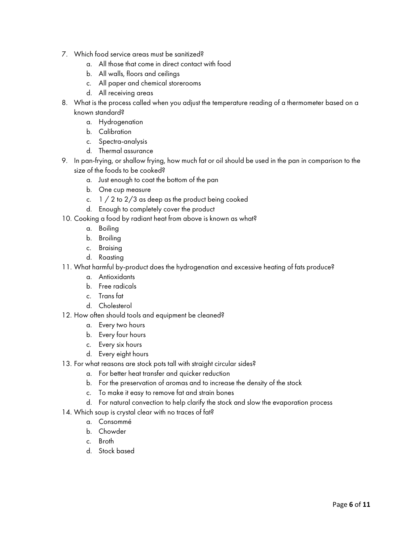- 7. Which food service areas must be sanitized?
	- a. All those that come in direct contact with food
	- b. All walls, floors and ceilings
	- c. All paper and chemical storerooms
	- d. All receiving areas
- 8. What is the process called when you adjust the temperature reading of a thermometer based on a known standard?
	- a. Hydrogenation
	- b. Calibration
	- c. Spectra-analysis
	- d. Thermal assurance
- 9. In pan-frying, or shallow frying, how much fat or oil should be used in the pan in comparison to the size of the foods to be cooked?
	- a. Just enough to coat the bottom of the pan
	- b. One cup measure
	- c.  $1 / 2$  to  $2 / 3$  as deep as the product being cooked
	- d. Enough to completely cover the product
- 10. Cooking a food by radiant heat from above is known as what?
	- a. Boiling
	- b. Broiling
	- c. Braising
	- d. Roasting
- 11. What harmful by-product does the hydrogenation and excessive heating of fats produce?
	- a. Antioxidants
	- b. Free radicals
	- c. Trans fat
	- d. Cholesterol
- 12. How often should tools and equipment be cleaned?
	- a. Every two hours
	- b. Every four hours
	- c. Every six hours
	- d. Every eight hours
- 13. For what reasons are stock pots tall with straight circular sides?
	- a. For better heat transfer and quicker reduction
	- b. For the preservation of aromas and to increase the density of the stock
	- c. To make it easy to remove fat and strain bones
	- d. For natural convection to help clarify the stock and slow the evaporation process
- 14. Which soup is crystal clear with no traces of fat?
	- a. Consommé
	- b. Chowder
	- c. Broth
	- d. Stock based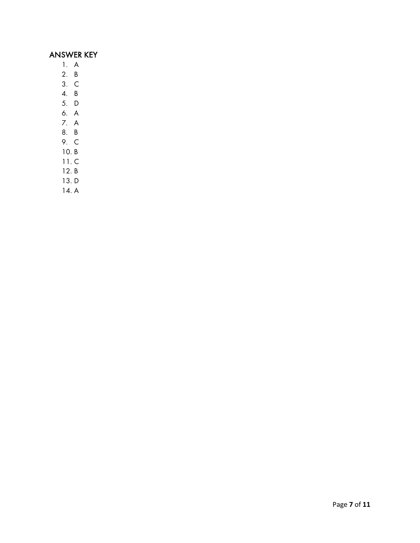## ANSWER KEY

- 1. A
- 2. B
- 3. C
- 4. B
- 5. D
- 6. A
- 7. A
- 8. B
- 9. C
- 10. B
- 11. C
- 12. B
- 13. D
- 14. A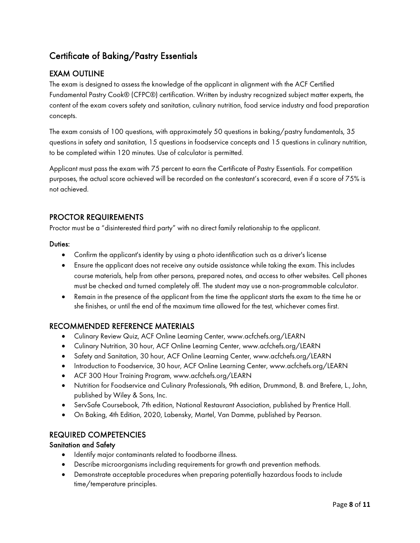## Certificate of Baking/Pastry Essentials

### EXAM OUTLINE

The exam is designed to assess the knowledge of the applicant in alignment with the ACF Certified Fundamental Pastry Cook® (CFPC®) certification. Written by industry recognized subject matter experts, the content of the exam covers safety and sanitation, culinary nutrition, food service industry and food preparation concepts.

The exam consists of 100 questions, with approximately 50 questions in baking/pastry fundamentals, 35 questions in safety and sanitation, 15 questions in foodservice concepts and 15 questions in culinary nutrition, to be completed within 120 minutes. Use of calculator is permitted.

Applicant must pass the exam with 75 percent to earn the Certificate of Pastry Essentials. For competition purposes, the actual score achieved will be recorded on the contestant's scorecard, even if a score of 75% is not achieved.

#### PROCTOR REQUIREMENTS

Proctor must be a "disinterested third party" with no direct family relationship to the applicant.

#### Duties:

- Confirm the applicant's identity by using a photo identification such as a driver's license
- Ensure the applicant does not receive any outside assistance while taking the exam. This includes course materials, help from other persons, prepared notes, and access to other websites. Cell phones must be checked and turned completely off. The student may use a non-programmable calculator.
- Remain in the presence of the applicant from the time the applicant starts the exam to the time he or she finishes, or until the end of the maximum time allowed for the test, whichever comes first.

#### RECOMMENDED REFERENCE MATERIALS

- Culinary Review Quiz, ACF Online Learning Center, www.acfchefs.org/LEARN
- Culinary Nutrition, 30 hour, ACF Online Learning Center, www.acfchefs.org/LEARN
- Safety and Sanitation, 30 hour, ACF Online Learning Center, www.acfchefs.org/LEARN
- Introduction to Foodservice, 30 hour, ACF Online Learning Center, www.acfchefs.org/LEARN
- ACF 300 Hour Training Program, www.acfchefs.org/LEARN
- Nutrition for Foodservice and Culinary Professionals, 9th edition, Drummond, B. and Brefere, L., John, published by Wiley & Sons, Inc.
- ServSafe Coursebook, 7th edition, National Restaurant Association, published by Prentice Hall.
- On Baking, 4th Edition, 2020, Labensky, Martel, Van Damme, published by Pearson.

#### REQUIRED COMPETENCIES

#### Sanitation and Safety

- Identify major contaminants related to foodborne illness.
- Describe microorganisms including requirements for growth and prevention methods.
- Demonstrate acceptable procedures when preparing potentially hazardous foods to include time/temperature principles.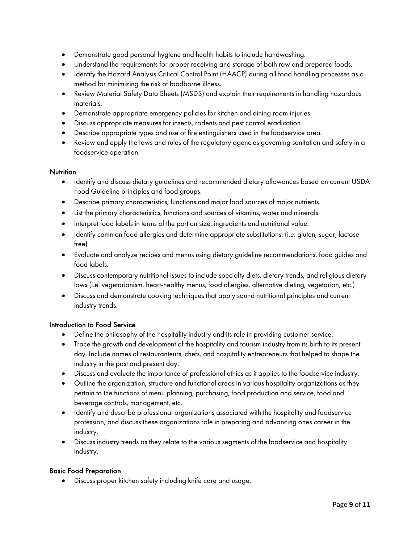- Demonstrate good personal hygiene and health habits to include handwashing.
- Understand the requirements for proper receiving and storage of both raw and prepared foods.
- Identify the Hazard Analysis Critical Control Point (HAACP) during all food handling processes as a method for minimizing the risk of foodborne illness.
- Review Material Safety Data Sheets (MSDS) and explain their requirements in handling hazardous materials.
- Demonstrate appropriate emergency policies for kitchen and dining room injuries.
- Discuss appropriate measures for insects, rodents and pest control eradication.
- Describe appropriate types and use of fire extinguishers used in the foodservice area.
- Review and apply the laws and rules of the regulatory agencies governing sanitation and safety in a foodservice operation.

#### **Nutrition**

- Identify and discuss dietary guidelines and recommended dietary allowances based on current USDA Food Guideline principles and food groups.
- Describe primary characteristics, functions and major food sources of major nutrients.
- List the primary characteristics, functions and sources of vitamins, water and minerals.
- Interpret food labels in terms of the portion size, ingredients and nutritional value.
- Identify common food allergies and determine appropriate substitutions. (i.e. gluten, sugar, lactose free)
- Evaluate and analyze recipes and menus using dietary guideline recommendations, food guides and food labels.
- Discuss contemporary nutritional issues to include specialty diets, dietary trends, and religious dietary laws (i.e. vegetarianism, heart-healthy menus, food allergies, alternative dieting, vegetarian, etc.)
- Discuss and demonstrate cooking techniques that apply sound nutritional principles and current industry trends.

#### Introduction to Food Service

- Define the philosophy of the hospitality industry and its role in providing customer service.
- Trace the growth and development of the hospitality and tourism industry from its birth to its present day. Include names of restauranteurs, chefs, and hospitality entrepreneurs that helped to shape the industry in the past and present day.
- Discuss and evaluate the importance of professional ethics as it applies to the foodservice industry.
- Outline the organization, structure and functional areas in various hospitality organizations as they pertain to the functions of menu planning, purchasing, food production and service, food and beverage controls, management, etc.
- Identify and describe professional organizations associated with the hospitality and foodservice profession, and discuss these organizations role in preparing and advancing ones career in the industry.
- Discuss industry trends as they relate to the various segments of the foodservice and hospitality industry.

#### Basic Food Preparation

• Discuss proper kitchen safety including knife care and usage.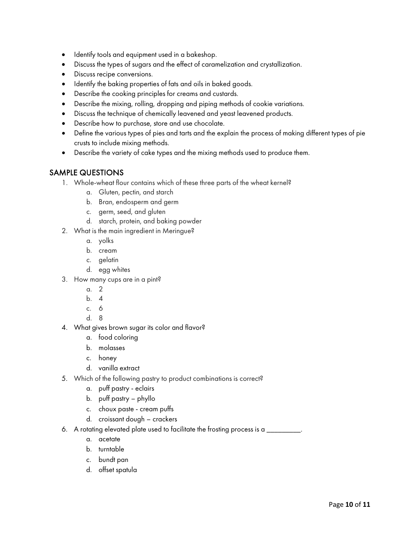- Identify tools and equipment used in a bakeshop.
- Discuss the types of sugars and the effect of caramelization and crystallization.
- Discuss recipe conversions.
- Identify the baking properties of fats and oils in baked goods.
- Describe the cooking principles for creams and custards.
- Describe the mixing, rolling, dropping and piping methods of cookie variations.
- Discuss the technique of chemically leavened and yeast leavened products.
- Describe how to purchase, store and use chocolate.
- Define the various types of pies and tarts and the explain the process of making different types of pie crusts to include mixing methods.
- Describe the variety of cake types and the mixing methods used to produce them.

#### SAMPLE QUESTIONS

- 1. Whole-wheat flour contains which of these three parts of the wheat kernel?
	- a. Gluten, pectin, and starch
	- b. Bran, endosperm and germ
	- c. germ, seed, and gluten
	- d. starch, protein, and baking powder
- 2. What is the main ingredient in Meringue?
	- a. yolks
	- b. cream
	- c. gelatin
	- d. egg whites
- 3. How many cups are in a pint?
	- a. 2
	- b. 4
	- c. 6
	- d. 8
- 4. What gives brown sugar its color and flavor?
	- a. food coloring
	- b. molasses
	- c. honey
	- d. vanilla extract
- 5. Which of the following pastry to product combinations is correct?
	- a. puff pastry eclairs
	- b. puff pastry phyllo
	- c. choux paste cream puffs
	- d. croissant dough crackers
- 6. A rotating elevated plate used to facilitate the frosting process is a \_\_\_\_\_\_\_\_\_.
	- a. acetate
	- b. turntable
	- c. bundt pan
	- d. offset spatula